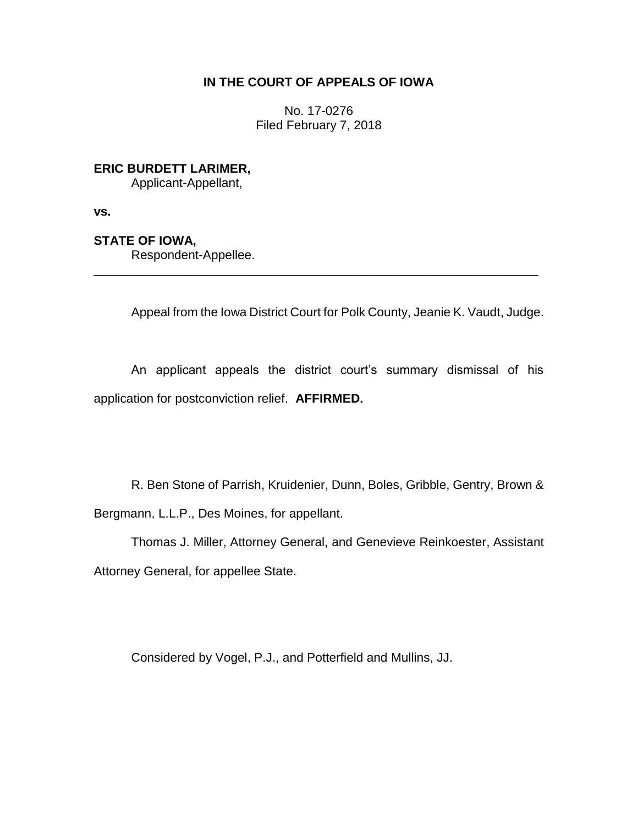## **IN THE COURT OF APPEALS OF IOWA**

No. 17-0276 Filed February 7, 2018

**ERIC BURDETT LARIMER,**

Applicant-Appellant,

**vs.**

**STATE OF IOWA,**

Respondent-Appellee.

Appeal from the Iowa District Court for Polk County, Jeanie K. Vaudt, Judge.

An applicant appeals the district court's summary dismissal of his application for postconviction relief. **AFFIRMED.**

\_\_\_\_\_\_\_\_\_\_\_\_\_\_\_\_\_\_\_\_\_\_\_\_\_\_\_\_\_\_\_\_\_\_\_\_\_\_\_\_\_\_\_\_\_\_\_\_\_\_\_\_\_\_\_\_\_\_\_\_\_\_\_\_

R. Ben Stone of Parrish, Kruidenier, Dunn, Boles, Gribble, Gentry, Brown & Bergmann, L.L.P., Des Moines, for appellant.

Thomas J. Miller, Attorney General, and Genevieve Reinkoester, Assistant Attorney General, for appellee State.

Considered by Vogel, P.J., and Potterfield and Mullins, JJ.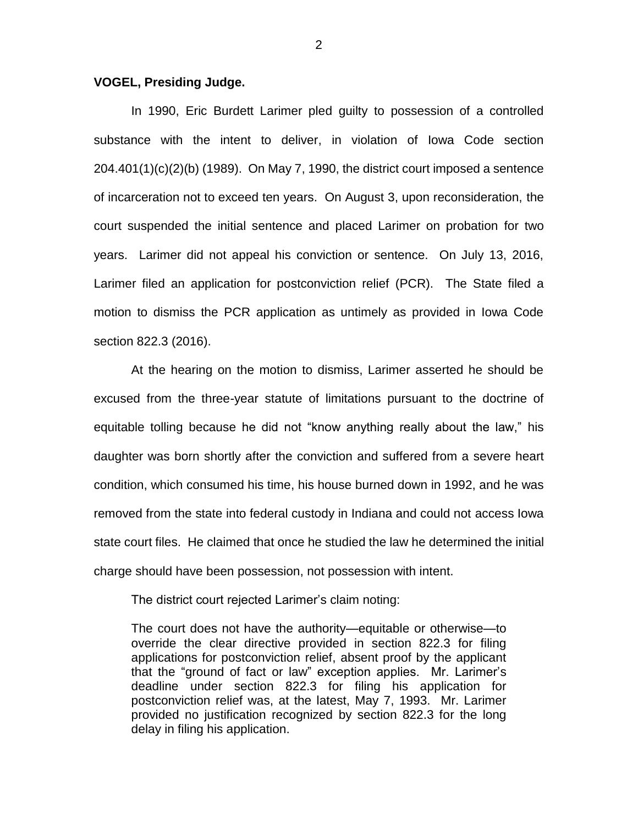## **VOGEL, Presiding Judge.**

In 1990, Eric Burdett Larimer pled guilty to possession of a controlled substance with the intent to deliver, in violation of Iowa Code section 204.401(1)(c)(2)(b) (1989). On May 7, 1990, the district court imposed a sentence of incarceration not to exceed ten years. On August 3, upon reconsideration, the court suspended the initial sentence and placed Larimer on probation for two years. Larimer did not appeal his conviction or sentence. On July 13, 2016, Larimer filed an application for postconviction relief (PCR). The State filed a motion to dismiss the PCR application as untimely as provided in Iowa Code section 822.3 (2016).

At the hearing on the motion to dismiss, Larimer asserted he should be excused from the three-year statute of limitations pursuant to the doctrine of equitable tolling because he did not "know anything really about the law," his daughter was born shortly after the conviction and suffered from a severe heart condition, which consumed his time, his house burned down in 1992, and he was removed from the state into federal custody in Indiana and could not access Iowa state court files. He claimed that once he studied the law he determined the initial charge should have been possession, not possession with intent.

The district court rejected Larimer's claim noting:

The court does not have the authority—equitable or otherwise—to override the clear directive provided in section 822.3 for filing applications for postconviction relief, absent proof by the applicant that the "ground of fact or law" exception applies. Mr. Larimer's deadline under section 822.3 for filing his application for postconviction relief was, at the latest, May 7, 1993. Mr. Larimer provided no justification recognized by section 822.3 for the long delay in filing his application.

2